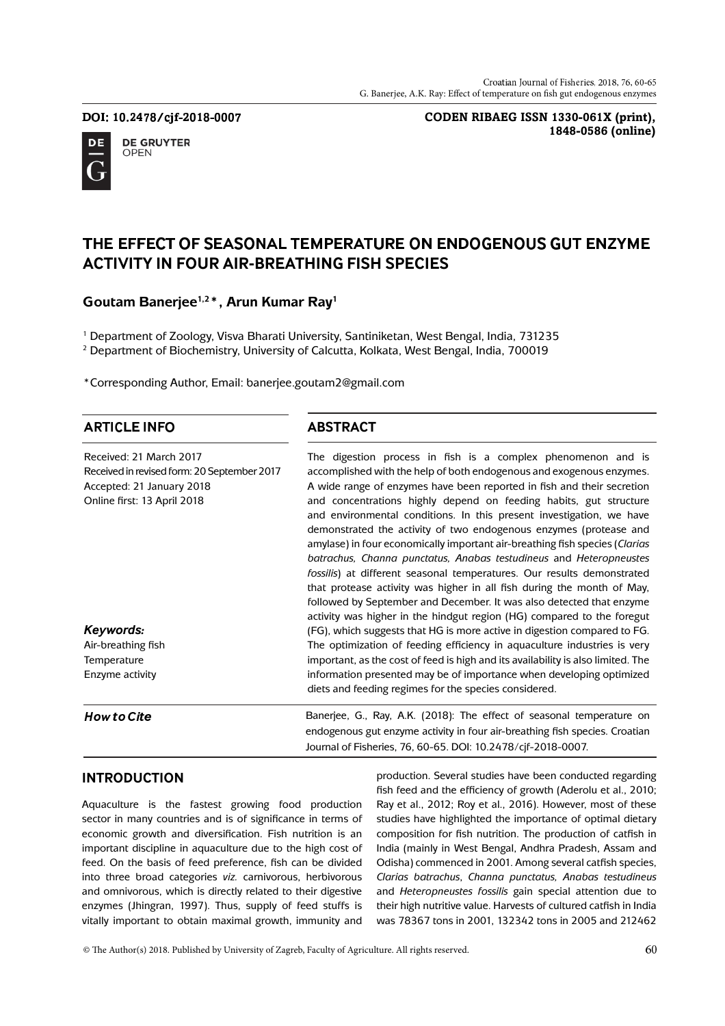DOI: 10.2478/cjf-2018-0007



**DE GRUYTER OPEN** 

**CODEN RIBAEG ISSN 1330-061X (print), 1848-0586 (online)**

# THE EFFECT OF SEASONAL TEMPERATURE ON ENDOGENOUS GUT ENZYME **ACTIVITY IN FOUR AIR-BREATHING FISH SPECIES**

### **Goutam Banerjee1,2\*, Arun Kumar Ray<sup>1</sup>**

1 Department of Zoology, Visva Bharati University, Santiniketan, West Bengal, India, 731235 2 Department of Biochemistry, University of Calcutta, Kolkata, West Bengal, India, 700019

\*Corresponding Author, Email: banerjee.goutam2@gmail.com

### **ARTICLE INFO**

**ABSTRACT** 

| Received: 21 March 2017                              | The digestion process in fish is a complex phenomenon and is                                                                                                                                                                                                                                                                                                                                                                                  |
|------------------------------------------------------|-----------------------------------------------------------------------------------------------------------------------------------------------------------------------------------------------------------------------------------------------------------------------------------------------------------------------------------------------------------------------------------------------------------------------------------------------|
| Received in revised form: 20 September 2017          | accomplished with the help of both endogenous and exogenous enzymes.                                                                                                                                                                                                                                                                                                                                                                          |
| Accepted: 21 January 2018                            | A wide range of enzymes have been reported in fish and their secretion                                                                                                                                                                                                                                                                                                                                                                        |
| Online first: 13 April 2018                          | and concentrations highly depend on feeding habits, gut structure<br>and environmental conditions. In this present investigation, we have<br>demonstrated the activity of two endogenous enzymes (protease and<br>amylase) in four economically important air-breathing fish species (Clarias<br>batrachus, Channa punctatus, Anabas testudineus and Heteropneustes<br>fossilis) at different seasonal temperatures. Our results demonstrated |
| Keywords:                                            | that protease activity was higher in all fish during the month of May,<br>followed by September and December. It was also detected that enzyme<br>activity was higher in the hindgut region (HG) compared to the foregut<br>(FG), which suggests that HG is more active in digestion compared to FG.                                                                                                                                          |
|                                                      |                                                                                                                                                                                                                                                                                                                                                                                                                                               |
| Air-breathing fish<br>Temperature<br>Enzyme activity | The optimization of feeding efficiency in aquaculture industries is very<br>important, as the cost of feed is high and its availability is also limited. The<br>information presented may be of importance when developing optimized<br>diets and feeding regimes for the species considered.                                                                                                                                                 |
| <b>How to Cite</b>                                   | Banerjee, G., Ray, A.K. (2018): The effect of seasonal temperature on<br>endogenous gut enzyme activity in four air-breathing fish species. Croatian<br>Journal of Fisheries, 76, 60-65. DOI: 10.2478/cjf-2018-0007.                                                                                                                                                                                                                          |

### **INTRODUCTION**

Aquaculture is the fastest growing food production sector in many countries and is of significance in terms of economic growth and diversification. Fish nutrition is an important discipline in aquaculture due to the high cost of feed. On the basis of feed preference, fish can be divided into three broad categories *viz.* carnivorous, herbivorous and omnivorous, which is directly related to their digestive enzymes (Jhingran, 1997). Thus, supply of feed stuffs is vitally important to obtain maximal growth, immunity and

production. Several studies have been conducted regarding fish feed and the efficiency of growth (Aderolu et al., 2010; Ray et al., 2012; Roy et al., 2016). However, most of these studies have highlighted the importance of optimal dietary composition for fish nutrition. The production of catfish in India (mainly in West Bengal, Andhra Pradesh, Assam and Odisha) commenced in 2001. Among several catfish species, *Clarias batrachus*, *Channa punctatus, Anabas testudineus*  and *Heteropneustes fossilis* gain special attention due to their high nutritive value. Harvests of cultured catfish in India was 78367 tons in 2001, 132342 tons in 2005 and 212462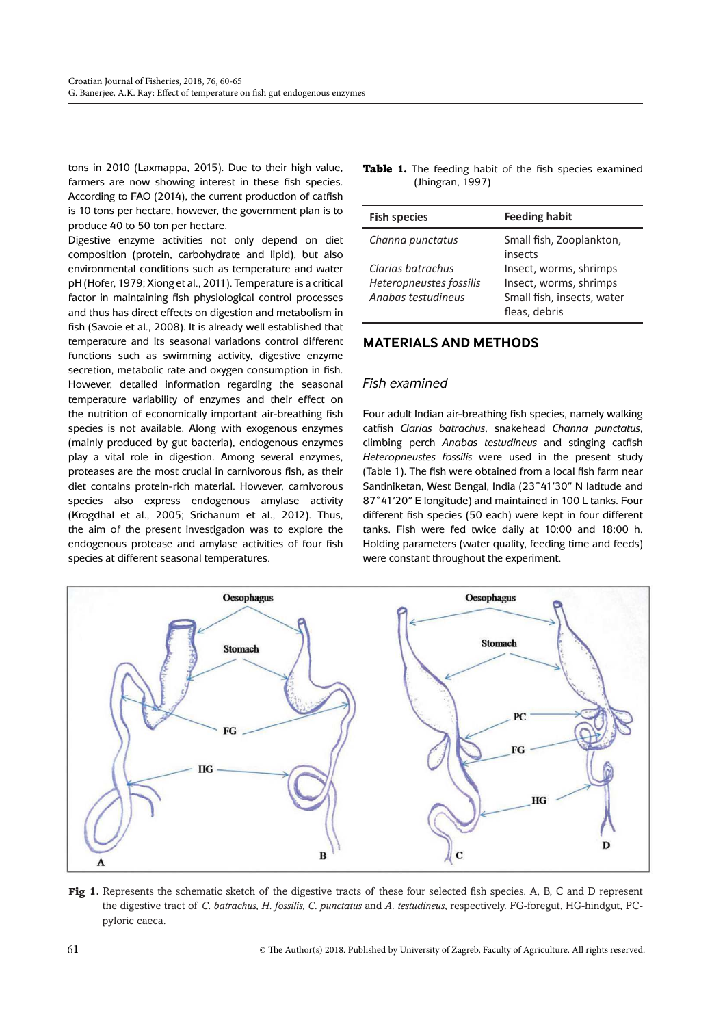tons in 2010 (Laxmappa, 2015). Due to their high value, farmers are now showing interest in these fish species. According to FAO (2014), the current production of catfish is 10 tons per hectare, however, the government plan is to produce 40 to 50 ton per hectare.

Digestive enzyme activities not only depend on diet composition (protein, carbohydrate and lipid), but also environmental conditions such as temperature and water pH (Hofer, 1979; Xiong et al., 2011). Temperature is a critical factor in maintaining fish physiological control processes and thus has direct effects on digestion and metabolism in fish (Savoie et al., 2008). It is already well established that temperature and its seasonal variations control different functions such as swimming activity, digestive enzyme secretion, metabolic rate and oxygen consumption in fish. However, detailed information regarding the seasonal temperature variability of enzymes and their effect on the nutrition of economically important air-breathing fish species is not available. Along with exogenous enzymes (mainly produced by gut bacteria), endogenous enzymes play a vital role in digestion. Among several enzymes, proteases are the most crucial in carnivorous fish, as their diet contains protein-rich material. However, carnivorous species also express endogenous amylase activity (Krogdhal et al., 2005; Srichanum et al., 2012). Thus, the aim of the present investigation was to explore the endogenous protease and amylase activities of four fish species at different seasonal temperatures.

|  |                  |  |  | <b>Table 1.</b> The feeding habit of the fish species examined |
|--|------------------|--|--|----------------------------------------------------------------|
|  | (Jhingran, 1997) |  |  |                                                                |

| <b>Fish species</b>                                                | <b>Feeding habit</b>                                                                            |
|--------------------------------------------------------------------|-------------------------------------------------------------------------------------------------|
| Channa punctatus                                                   | Small fish, Zooplankton,<br>insects                                                             |
| Clarias batrachus<br>Heteropneustes fossilis<br>Anabas testudineus | Insect, worms, shrimps<br>Insect, worms, shrimps<br>Small fish, insects, water<br>fleas, debris |

### **MATERIALS AND METHODS**

#### *Fish examined*

Four adult Indian air-breathing fish species, namely walking catfish *Clarias batrachus*, snakehead *Channa punctatus*, climbing perch *Anabas testudineus* and stinging catfish *Heteropneustes fossilis* were used in the present study (Table 1). The fish were obtained from a local fish farm near Santiniketan, West Bengal, India (23°41'30" N latitude and 87°41'20" E longitude) and maintained in 100 L tanks. Four different fish species (50 each) were kept in four different tanks. Fish were fed twice daily at 10:00 and 18:00 h. Holding parameters (water quality, feeding time and feeds) were constant throughout the experiment.



Fig 1. Represents the schematic sketch of the digestive tracts of these four selected fish species. A, B, C and D represent the digestive tract of *C. batrachus, H. fossilis, C. punctatus* and *A. testudineus*, respectively. FG-foregut, HG-hindgut, PCpyloric caeca.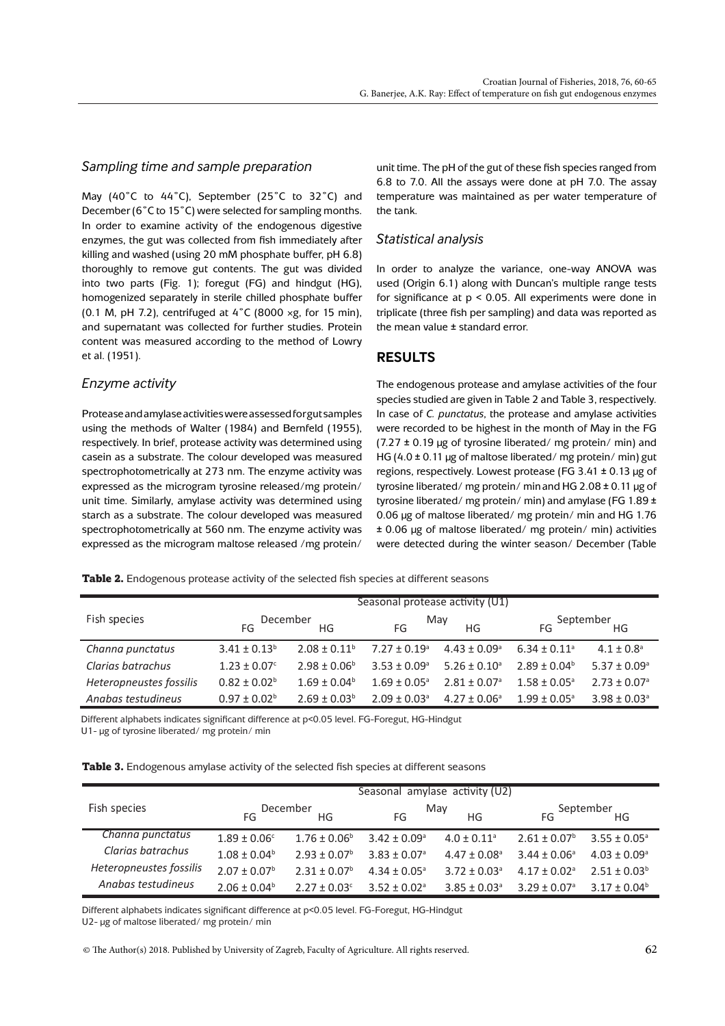#### *Sampling time and sample preparation*

May (40˚C to 44˚C), September (25˚C to 32˚C) and December (6˚C to 15˚C) were selected for sampling months. In order to examine activity of the endogenous digestive enzymes, the gut was collected from fish immediately after killing and washed (using 20 mM phosphate buffer, pH 6.8) thoroughly to remove gut contents. The gut was divided into two parts (Fig. 1); foregut (FG) and hindgut (HG), homogenized separately in sterile chilled phosphate buffer (0.1 M, pH 7.2), centrifuged at  $4\degree$ C (8000 ×g, for 15 min), and supernatant was collected for further studies. Protein content was measured according to the method of Lowry et al. (1951).

#### *Enzyme activity*

Protease and amylase activities were assessed for gut samples using the methods of Walter (1984) and Bernfeld (1955), respectively. In brief, protease activity was determined using casein as a substrate. The colour developed was measured spectrophotometrically at 273 nm. The enzyme activity was expressed as the microgram tyrosine released/mg protein/ unit time. Similarly, amylase activity was determined using starch as a substrate. The colour developed was measured spectrophotometrically at 560 nm. The enzyme activity was expressed as the microgram maltose released /mg protein/

unit time. The pH of the gut of these fish species ranged from 6.8 to 7.0. All the assays were done at pH 7.0. The assay temperature was maintained as per water temperature of the tank.

#### *Statistical analysis*

In order to analyze the variance, one-way ANOVA was used (Origin 6.1) along with Duncan's multiple range tests for significance at p < 0.05. All experiments were done in triplicate (three fish per sampling) and data was reported as the mean value ± standard error.

#### **RESULTS**

The endogenous protease and amylase activities of the four species studied are given in Table 2 and Table 3, respectively. In case of *C. punctatus*, the protease and amylase activities were recorded to be highest in the month of May in the FG (7.27  $\pm$  0.19 µg of tyrosine liberated/ mg protein/ min) and HG (4.0  $\pm$  0.11 µg of maltose liberated/ mg protein/ min) gut regions, respectively. Lowest protease (FG 3.41 ± 0.13 µg of tyrosine liberated/ mg protein/ minand HG 2.08 ± 0.11 µg of tyrosine liberated/ mg protein/ min) and amylase (FG 1.89 ± 0.06 µg of maltose liberated/ mg protein/ min and HG 1.76 ± 0.06 µg of maltose liberated/ mg protein/ min) activities were detected during the winter season/ December (Table

Table 2. Endogenous protease activity of the selected fish species at different seasons

|                         |                              |                   | Seasonal protease activity (U1) |                            |                              |                              |
|-------------------------|------------------------------|-------------------|---------------------------------|----------------------------|------------------------------|------------------------------|
| Fish species            | December<br>ΗG<br>FG         |                   | May<br>FG<br>ΗG                 |                            | September<br>FG.<br>HG       |                              |
| Channa punctatus        | $3.41 \pm 0.13^b$            | $2.08 \pm 0.11^b$ | $7.27 \pm 0.19$ <sup>a</sup>    | $4.43 \pm 0.09^{\circ}$    | $6.34 \pm 0.11$ <sup>a</sup> | $4.1 \pm 0.8$ <sup>a</sup>   |
| Clarias batrachus       | $1.23 \pm 0.07$ <sup>c</sup> | $2.98 + 0.06^b$   | $3.53 + 0.09$ <sup>a</sup>      | $5.26 + 0.10a$             | $2.89 + 0.04^b$              | $5.37 \pm 0.09^{\circ}$      |
| Heteropneustes fossilis | $0.82 \pm 0.02^b$            | $1.69 \pm 0.04^b$ | $1.69 + 0.05^{\circ}$           | $2.81 + 0.07$ <sup>a</sup> | $1.58 + 0.05^{\circ}$        | $2.73 \pm 0.07$ <sup>a</sup> |
| Anabas testudineus      | $0.97 \pm 0.02^b$            | $2.69 \pm 0.03^b$ | $2.09 \pm 0.03$ <sup>a</sup>    | $4.27 \pm 0.06^{\circ}$    | $1.99 \pm 0.05^{\circ}$      | $3.98 \pm 0.03$ <sup>a</sup> |

Different alphabets indicates significant difference at p<0.05 level. FG-Foregut, HG-Hindgut

U1- µg of tyrosine liberated/ mg protein/ min

|  |  |  |  |  |  | <b>Table 3.</b> Endogenous amylase activity of the selected fish species at different seasons |
|--|--|--|--|--|--|-----------------------------------------------------------------------------------------------|
|--|--|--|--|--|--|-----------------------------------------------------------------------------------------------|

|                         | Seasonal amylase activity (U2) |                         |                            |                              |                              |                              |  |
|-------------------------|--------------------------------|-------------------------|----------------------------|------------------------------|------------------------------|------------------------------|--|
| Fish species            | December<br>HG<br>FG           |                         | May<br>HG<br>FG            |                              | September<br>FG.<br>HG       |                              |  |
| Channa punctatus        | $1.89 \pm 0.06^{\circ}$        | $1.76 \pm 0.06^{\circ}$ | $3.42 + 0.09$ <sup>a</sup> | $4.0 \pm 0.11$ <sup>a</sup>  | $2.61 \pm 0.07^b$            | $3.55 \pm 0.05^{\circ}$      |  |
| Clarias batrachus       | $1.08 \pm 0.04^b$              | $2.93 + 0.07b$          | $3.83 + 0.07$ <sup>a</sup> | $4.47 \pm 0.08$ <sup>a</sup> | $3.44 \pm 0.06^{\circ}$      | $4.03 \pm 0.09$ <sup>a</sup> |  |
| Heteropneustes fossilis | $2.07 \pm 0.07^b$              | $2.31 + 0.07^b$         | $4.34 + 0.05^{\circ}$      | $3.72 + 0.03a$               | $4.17 \pm 0.02$ <sup>a</sup> | $2.51 \pm 0.03^b$            |  |
| Anabas testudineus      | $2.06 \pm 0.04^b$              | $2.27 + 0.03c$          | $3.52 + 0.02$ <sup>a</sup> | $3.85 \pm 0.03$ <sup>a</sup> | $3.29 \pm 0.07$ <sup>a</sup> | $3.17 \pm 0.04^b$            |  |

Different alphabets indicates significant difference at p<0.05 level. FG-Foregut, HG-Hindgut

U2- µg of maltose liberated/ mg protein/ min

 $\circ$  The Author(s) 2018. Published by University of Zagreb, Faculty of Agriculture. All rights reserved.  $\dot{\phantom{a}}$  62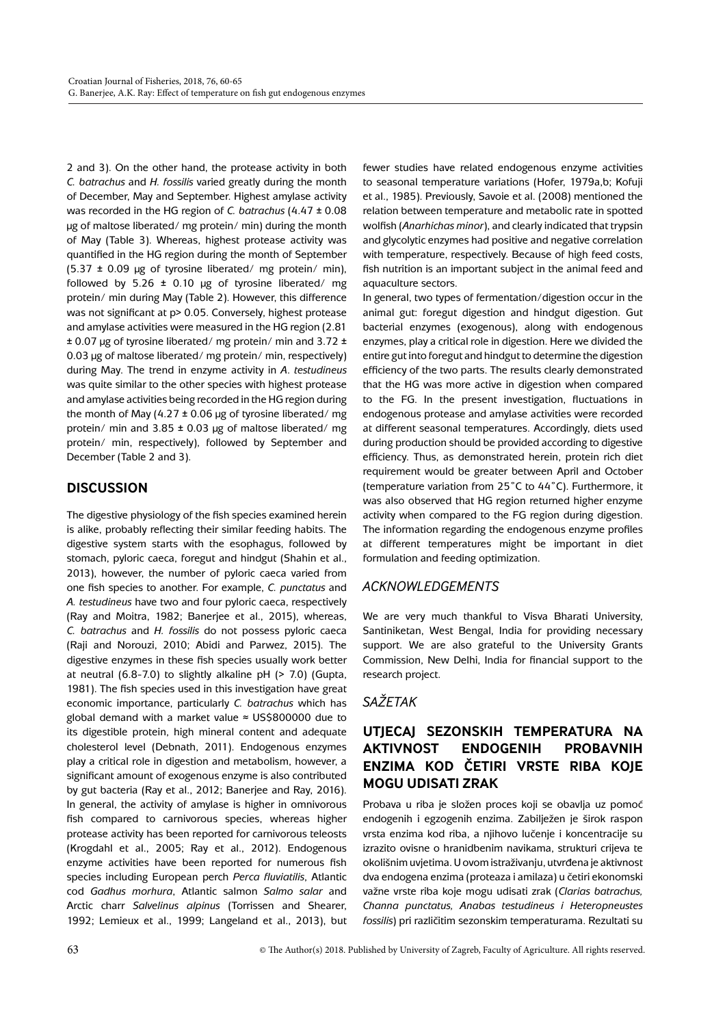2 and 3). On the other hand, the protease activity in both *C. batrachus* and *H. fossilis* varied greatly during the month of December, May and September. Highest amylase activity was recorded in the HG region of *C. batrachus* (4.47 ± 0.08 µg of maltose liberated/ mg protein/ min) during the month of May (Table 3). Whereas, highest protease activity was quantified in the HG region during the month of September  $(5.37 \pm 0.09 \mu g)$  of tyrosine liberated/ mg protein/ min), followed by 5.26  $\pm$  0.10 µg of tyrosine liberated/ mg protein/ min during May (Table 2). However, this difference was not significant at p> 0.05. Conversely, highest protease and amylase activities were measured in the HG region (2.81  $\pm$  0.07 µg of tyrosine liberated/ mg protein/ min and 3.72  $\pm$ 0.03 µg of maltose liberated/ mg protein/ min, respectively) during May. The trend in enzyme activity in *A*. *testudineus* was quite similar to the other species with highest protease and amylase activities being recorded in the HG region during the month of May  $(4.27 \pm 0.06 \mu g)$  of tyrosine liberated/ mg protein/ min and  $3.85 \pm 0.03$  µg of maltose liberated/ mg protein/ min, respectively), followed by September and December (Table 2 and 3).

### **DISCUSSION**

The digestive physiology of the fish species examined herein is alike, probably reflecting their similar feeding habits. The digestive system starts with the esophagus, followed by stomach, pyloric caeca, foregut and hindgut (Shahin et al., 2013), however, the number of pyloric caeca varied from one fish species to another. For example, *C. punctatus* and *A. testudineus* have two and four pyloric caeca, respectively (Ray and Moitra, 1982; Banerjee et al., 2015), whereas, *C. batrachus* and *H. fossilis* do not possess pyloric caeca (Raji and Norouzi, 2010; Abidi and Parwez, 2015). The digestive enzymes in these fish species usually work better at neutral (6.8-7.0) to slightly alkaline pH (> 7.0) (Gupta, 1981). The fish species used in this investigation have great economic importance, particularly *C. batrachus* which has global demand with a market value ≈ US\$800000 due to its digestible protein, high mineral content and adequate cholesterol level (Debnath, 2011). Endogenous enzymes play a critical role in digestion and metabolism, however, a significant amount of exogenous enzyme is also contributed by gut bacteria (Ray et al., 2012; Banerjee and Ray, 2016). In general, the activity of amylase is higher in omnivorous fish compared to carnivorous species, whereas higher protease activity has been reported for carnivorous teleosts (Krogdahl et al., 2005; Ray et al., 2012). Endogenous enzyme activities have been reported for numerous fish species including European perch *Perca fluviatilis*, Atlantic cod *Gadhus morhura*, Atlantic salmon *Salmo salar* and Arctic charr *Salvelinus alpinus* (Torrissen and Shearer, 1992; Lemieux et al., 1999; Langeland et al., 2013), but fewer studies have related endogenous enzyme activities to seasonal temperature variations (Hofer, 1979a,b; Kofuji et al., 1985). Previously, Savoie et al. (2008) mentioned the relation between temperature and metabolic rate in spotted wolfish (*Anarhichas minor*), and clearly indicated that trypsin and glycolytic enzymes had positive and negative correlation with temperature, respectively. Because of high feed costs, fish nutrition is an important subject in the animal feed and aquaculture sectors.

In general, two types of fermentation/digestion occur in the animal gut: foregut digestion and hindgut digestion. Gut bacterial enzymes (exogenous), along with endogenous enzymes, play a critical role in digestion. Here we divided the entire gut into foregut and hindgut to determine the digestion efficiency of the two parts. The results clearly demonstrated that the HG was more active in digestion when compared to the FG. In the present investigation, fluctuations in endogenous protease and amylase activities were recorded at different seasonal temperatures. Accordingly, diets used during production should be provided according to digestive efficiency. Thus, as demonstrated herein, protein rich diet requirement would be greater between April and October (temperature variation from 25˚C to 44˚C). Furthermore, it was also observed that HG region returned higher enzyme activity when compared to the FG region during digestion. The information regarding the endogenous enzyme profiles at different temperatures might be important in diet formulation and feeding optimization.

### *ACKNOWLEDGEMENTS*

We are very much thankful to Visva Bharati University, Santiniketan, West Bengal, India for providing necessary support. We are also grateful to the University Grants Commission, New Delhi, India for financial support to the research project.

### *SAŽETAK*

# **UTJECAJ SEZONSKIH TEMPERATURA NA AKTIVNOST ENDOGENIH PROBAVNIH ENZIMA KOD ČETIRI VRSTE RIBA KOJE MOGU UDISATI ZRAK**

Probava u riba je složen proces koji se obavlja uz pomoć endogenih i egzogenih enzima. Zabilježen je širok raspon vrsta enzima kod riba, a njihovo lučenje i koncentracije su izrazito ovisne o hranidbenim navikama, strukturi crijeva te okolišnim uvjetima. U ovom istraživanju, utvrđena je aktivnost dva endogena enzima (proteaza i amilaza) u četiri ekonomski važne vrste riba koje mogu udisati zrak (*Clarias batrachus, Channa punctatus, Anabas testudineus i Heteropneustes fossilis*) pri različitim sezonskim temperaturama. Rezultati su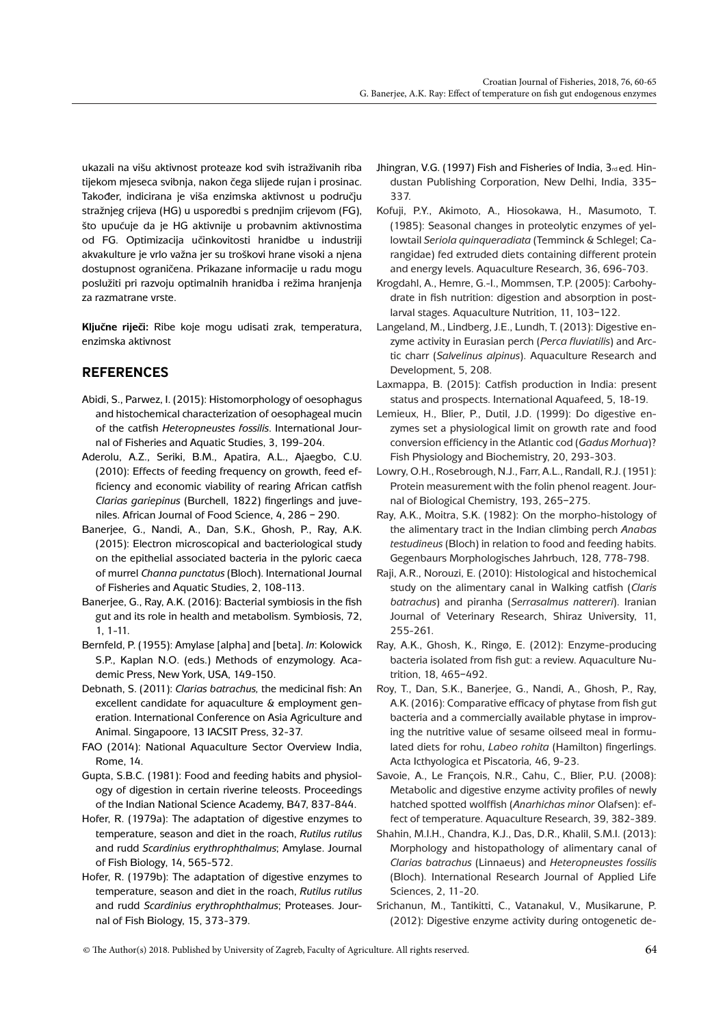ukazali na višu aktivnost proteaze kod svih istraživanih riba tijekom mjeseca svibnja, nakon čega slijede rujan i prosinac. Također, indicirana je viša enzimska aktivnost u području stražnjeg crijeva (HG) u usporedbi s prednjim crijevom (FG), što upućuje da je HG aktivnije u probavnim aktivnostima od FG. Optimizacija učinkovitosti hranidbe u industriji akvakulture je vrlo važna jer su troškovi hrane visoki a njena dostupnost ograničena. Prikazane informacije u radu mogu poslužiti pri razvoju optimalnih hranidba i režima hranjenja za razmatrane vrste.

**Ključne riječi:** Ribe koje mogu udisati zrak, temperatura, enzimska aktivnost

# **REFERENCES**

- Abidi, S., Parwez, I. (2015): Histomorphology of oesophagus and histochemical characterization of oesophageal mucin of the catfish *Heteropneustes fossilis*. International Journal of Fisheries and Aquatic Studies, 3, 199-204.
- Aderolu, A.Z., Seriki, B.M., Apatira, A.L., Ajaegbo, C.U. (2010): Effects of feeding frequency on growth, feed efficiency and economic viability of rearing African catfish *Clarias gariepinus* (Burchell, 1822) fingerlings and juveniles. African Journal of Food Science, 4, 286 – 290.
- Banerjee, G., Nandi, A., Dan, S.K., Ghosh, P., Ray, A.K. (2015): Electron microscopical and bacteriological study on the epithelial associated bacteria in the pyloric caeca of murrel *Channa punctatus* (Bloch). International Journal of Fisheries and Aquatic Studies, 2, 108-113.
- Banerjee, G., Ray, A.K. (2016): Bacterial symbiosis in the fish gut and its role in health and metabolism. Symbiosis, 72, 1, 1-11.
- Bernfeld, P. (1955): Amylase [alpha] and [beta]. *In*: Kolowick S.P., Kaplan N.O. (eds.) Methods of enzymology. Academic Press, New York, USA, 149-150.
- Debnath, S. (2011): *Clarias batrachus,* the medicinal fish: An excellent candidate for aquaculture & employment generation. International Conference on Asia Agriculture and Animal. Singapoore, 13 IACSIT Press, 32-37.
- FAO (2014): National Aquaculture Sector Overview India, Rome, 14.
- Gupta, S.B.C. (1981): Food and feeding habits and physiology of digestion in certain riverine teleosts. Proceedings of the Indian National Science Academy, B47, 837-844.
- Hofer, R. (1979a): The adaptation of digestive enzymes to temperature, season and diet in the roach, *Rutilus rutilus* and rudd *Scardinius erythrophthalmus*; Amylase. Journal of Fish Biology, 14, 565-572.
- Hofer, R. (1979b): The adaptation of digestive enzymes to temperature, season and diet in the roach, *Rutilus rutilus* and rudd *Scardinius erythrophthalmus*; Proteases. Journal of Fish Biology, 15, 373-379.
- Jhingran, V.G. (1997) Fish and Fisheries of India, 3rd ed. Hindustan Publishing Corporation, New Delhi, India, 335– 337.
- Kofuji, P.Y., Akimoto, A., Hiosokawa, H., Masumoto, T. (1985): Seasonal changes in proteolytic enzymes of yellowtail *Seriola quinqueradiata* (Temminck & Schlegel; Carangidae) fed extruded diets containing different protein and energy levels. Aquaculture Research, 36, 696-703.
- Krogdahl, A., Hemre, G.-I., Mommsen, T.P. (2005): Carbohydrate in fish nutrition: digestion and absorption in postlarval stages. Aquaculture Nutrition, 11, 103–122.
- Langeland, M., Lindberg, J.E., Lundh, T. (2013): Digestive enzyme activity in Eurasian perch (*Perca fluviatilis*) and Arctic charr (*Salvelinus alpinus*). Aquaculture Research and Development, 5, 208.
- Laxmappa, B. (2015): Catfish production in India: present status and prospects. International Aquafeed, 5, 18-19.
- Lemieux, H., Blier, P., Dutil, J.D. (1999): Do digestive enzymes set a physiological limit on growth rate and food conversion efficiency in the Atlantic cod (*Gadus Morhua*)? Fish Physiology and Biochemistry, 20, 293-303.
- Lowry, O.H., Rosebrough, N.J., Farr, A.L., Randall, R.J. (1951): Protein measurement with the folin phenol reagent. Journal of Biological Chemistry, 193, 265–275.
- Ray, A.K., Moitra, S.K. (1982): On the morpho-histology of the alimentary tract in the Indian climbing perch *Anabas testudineus* (Bloch) in relation to food and feeding habits. Gegenbaurs Morphologisches Jahrbuch, 128, 778-798.
- Raji, A.R., Norouzi, E. (2010): Histological and histochemical study on the alimentary canal in Walking catfish (*Claris batrachus*) and piranha (*Serrasalmus nattereri*). Iranian Journal of Veterinary Research, Shiraz University, 11, 255-261.
- Ray, A.K., Ghosh, K., Ringø, E. (2012): Enzyme-producing bacteria isolated from fish gut: a review. Aquaculture Nutrition, 18, 465–492.
- Roy, T., Dan, S.K., Banerjee, G., Nandi, A., Ghosh, P., Ray, A.K. (2016): Comparative efficacy of phytase from fish gut bacteria and a commercially available phytase in improving the nutritive value of sesame oilseed meal in formulated diets for rohu, *Labeo rohita* (Hamilton) fingerlings. Acta Icthyologica et Piscatoria*,* 46, 9-23.
- Savoie, A., Le François, N.R., Cahu, C., Blier, P.U. (2008): Metabolic and digestive enzyme activity profiles of newly hatched spotted wolffish (*Anarhichas minor* Olafsen): effect of temperature. Aquaculture Research, 39, 382-389.
- Shahin, M.I.H., Chandra, K.J., Das, D.R., Khalil, S.M.I. (2013): Morphology and histopathology of alimentary canal of *Clarias batrachus* (Linnaeus) and *Heteropneustes fossilis* (Bloch). International Research Journal of Applied Life Sciences, 2, 11-20.
- Srichanun, M., Tantikitti, C., Vatanakul, V., Musikarune, P. (2012): Digestive enzyme activity during ontogenetic de-
- $\circ$  The Author(s) 2018. Published by University of Zagreb, Faculty of Agriculture. All rights reserved.  $64$